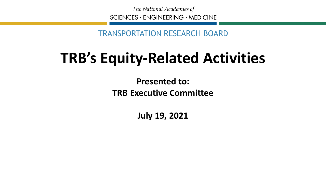The National Academies of  $SCIENCES · ENGINEERING · MEDICINE$ 

TRANSPORTATION RESEARCH BOARD

#### **TRB's Equity-Related Activities**

**Presented to: TRB Executive Committee**

**July 19, 2021**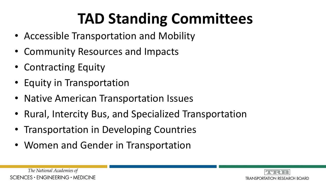# **TAD Standing Committees**

- Accessible Transportation and Mobility
- Community Resources and Impacts
- Contracting Equity
- Equity in Transportation
- Native American Transportation Issues
- Rural, Intercity Bus, and Specialized Transportation
- Transportation in Developing Countries
- Women and Gender in Transportation



The National Academies of  $SCIENCES \cdot ENGINEERING \cdot MEDICINE$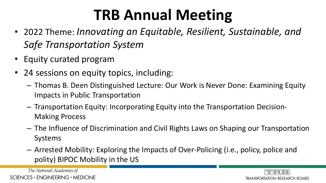#### **TRB Annual Meeting**

- 2022 Theme: *Innovating an Equitable, Resilient, Sustainable, and Safe Transportation System*
- Equity curated program
- 24 sessions on equity topics, including:
	- Thomas B. Deen Distinguished Lecture: Our Work is Never Done: Examining Equity Impacts in Public Transportation
	- Transportation Equity: Incorporating Equity into the Transportation Decision-Making Process
	- The Influence of Discrimination and Civil Rights Laws on Shaping our Transportation Systems
	- Arrested Mobility: Exploring the Impacts of Over-Policing (i.e., policy, police and polity) BIPOC Mobility in the US

The National Academies of  $SCIENCES · ENGINEERING · MEDICINE$ 

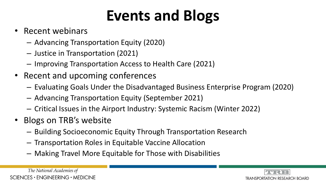# **Events and Blogs**

- Recent webinars
	- Advancing Transportation Equity (2020)
	- Justice in Transportation (2021)
	- Improving Transportation Access to Health Care (2021)
- Recent and upcoming conferences
	- Evaluating Goals Under the Disadvantaged Business Enterprise Program (2020)
	- Advancing Transportation Equity (September 2021)
	- Critical Issues in the Airport Industry: Systemic Racism (Winter 2022)
- Blogs on TRB's website
	- Building Socioeconomic Equity Through Transportation Research
	- Transportation Roles in Equitable Vaccine Allocation
	- Making Travel More Equitable for Those with Disabilities

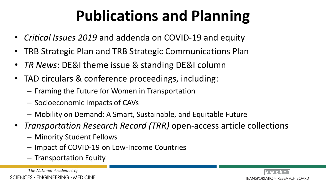# **Publications and Planning**

- *Critical Issues 2019* and addenda on COVID-19 and equity
- TRB Strategic Plan and TRB Strategic Communications Plan
- *TR News*: DE&I theme issue & standing DE&I column
- TAD circulars & conference proceedings, including:
	- Framing the Future for Women in Transportation
	- Socioeconomic Impacts of CAVs
	- Mobility on Demand: A Smart, Sustainable, and Equitable Future
- *Transportation Research Record (TRR)* open-access article collections
	- Minority Student Fellows
	- Impact of COVID-19 on Low-Income Countries
	- Transportation Equity

The National Academies of  $SCIENCES · ENGINEERING · MEDICINE$